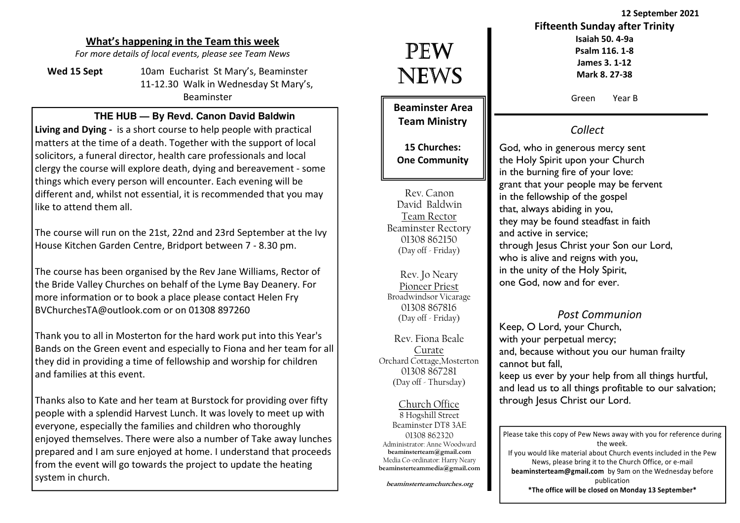### What's happening in the Team this week

For more details of local events, please see Team News

Wed 15 Sept 10am Eucharist St Mary's, Beaminster 11-12.30 Walk in Wednesday St Mary's, Beaminster

#### **THE HUB — By Revd. Canon David Baldwin**

Living and Dying - is a short course to help people with practical matters at the time of a death. Together with the support of local solicitors, a funeral director, health care professionals and local clergy the course will explore death, dying and bereavement - some things which every person will encounter. Each evening will be different and, whilst not essential, it is recommended that you may like to attend them all.

The course will run on the 21st, 22nd and 23rd September at the Ivy House Kitchen Garden Centre, Bridport between 7 - 8.30 pm.

The course has been organised by the Rev Jane Williams, Rector of the Bride Valley Churches on behalf of the Lyme Bay Deanery. For more information or to book a place please contact Helen Fry BVChurchesTA@outlook.com or on 01308 897260

Thank you to all in Mosterton for the hard work put into this Year's Bands on the Green event and especially to Fiona and her team for all they did in providing a time of fellowship and worship for children and families at this event.

Thanks also to Kate and her team at Burstock for providing over fifty people with a splendid Harvest Lunch. It was lovely to meet up with everyone, especially the families and children who thoroughly enjoyed themselves. There were also a number of Take away lunches prepared and I am sure enjoyed at home. I understand that proceeds from the event will go towards the project to update the heating system in church.

# PEW NEWS

Beaminster Area Team Ministry

15 Churches: One Community

Rev. Canon David Baldwin Team Rector Beaminster Rectory 01308 862150 (Day off - Friday)

Rev. Jo Neary Pioneer Priest Broadwindsor Vicarage 01308 867816 (Day off - Friday)

Rev. Fiona Beale Curate Orchard Cottage,Mosterton 01308 867281(Day off - Thursday)

Church Office 8 Hogshill Street Beaminster DT8 3AE 01308 862320 Administrator: Anne Woodward beaminsterteam@gmail.com Media Co-ordinator: Harry Nearybeaminsterteammedia@gmail.com

beaminsterteamchurches.org

# 12 September 2021 Fifteenth Sunday after TrinityIsaiah 50. 4-9a

Psalm 116. 1-8 James 3. 1-12 Mark 8. 27-38

Green Year B

## Collect

God, who in generous mercy sent the Holy Spirit upon your Church in the burning fire of your love: grant that your people may be fervent in the fellowship of the gospel that, always abiding in you, they may be found steadfast in faith and active in service; through Jesus Christ your Son our Lord, who is alive and reigns with you, in the unity of the Holy Spirit, one God, now and for ever.

#### Post Communion

Keep, O Lord, your Church, with your perpetual mercy; and, because without you our human frailty cannot but fall,

 keep us ever by your help from all things hurtful, and lead us to all things profitable to our salvation; through Jesus Christ our Lord.

Please take this copy of Pew News away with you for reference during the week. If you would like material about Church events included in the Pew News, please bring it to the Church Office, or e-mail beaminsterteam@gmail.com by 9am on the Wednesday before publication \*The office will be closed on Monday 13 September\*